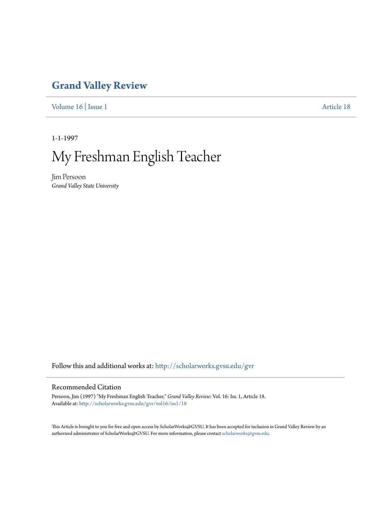## **[Grand Valley Review](http://scholarworks.gvsu.edu/gvr?utm_source=scholarworks.gvsu.edu%2Fgvr%2Fvol16%2Fiss1%2F18&utm_medium=PDF&utm_campaign=PDFCoverPages)**

[Volume 16](http://scholarworks.gvsu.edu/gvr/vol16?utm_source=scholarworks.gvsu.edu%2Fgvr%2Fvol16%2Fiss1%2F18&utm_medium=PDF&utm_campaign=PDFCoverPages) | [Issue 1](http://scholarworks.gvsu.edu/gvr/vol16/iss1?utm_source=scholarworks.gvsu.edu%2Fgvr%2Fvol16%2Fiss1%2F18&utm_medium=PDF&utm_campaign=PDFCoverPages) [Article 18](http://scholarworks.gvsu.edu/gvr/vol16/iss1/18?utm_source=scholarworks.gvsu.edu%2Fgvr%2Fvol16%2Fiss1%2F18&utm_medium=PDF&utm_campaign=PDFCoverPages)

1-1-1997

# My Freshman English Teacher

Jim Persoon *Grand Valley State University*

Follow this and additional works at: [http://scholarworks.gvsu.edu/gvr](http://scholarworks.gvsu.edu/gvr?utm_source=scholarworks.gvsu.edu%2Fgvr%2Fvol16%2Fiss1%2F18&utm_medium=PDF&utm_campaign=PDFCoverPages)

#### Recommended Citation

Persoon, Jim (1997) "My Freshman English Teacher," *Grand Valley Review*: Vol. 16: Iss. 1, Article 18. Available at: [http://scholarworks.gvsu.edu/gvr/vol16/iss1/18](http://scholarworks.gvsu.edu/gvr/vol16/iss1/18?utm_source=scholarworks.gvsu.edu%2Fgvr%2Fvol16%2Fiss1%2F18&utm_medium=PDF&utm_campaign=PDFCoverPages)

This Article is brought to you for free and open access by ScholarWorks@GVSU. It has been accepted for inclusion in Grand Valley Review by an authorized administrator of ScholarWorks@GVSU. For more information, please contact [scholarworks@gvsu.edu.](mailto:scholarworks@gvsu.edu)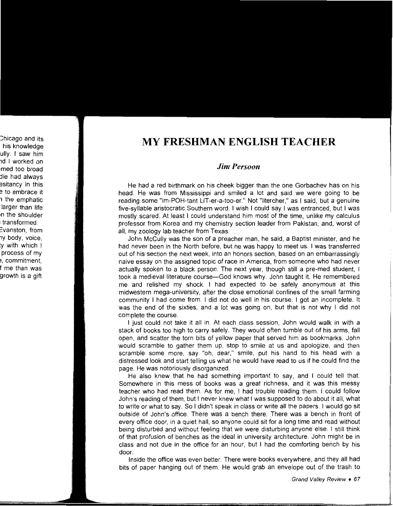### **MY FRESHMAN ENGLISH TEACHER**

#### *Jim Persoon*

He had a red birthmark on his cheek bigger than the one Gorbachev has on his head. He was from Mississippi and smiled a lot and said we were going to be reading some "im-POH-tant LIT-er-a-too-er." Not "litercher," as I said, but a genuine five-syllable aristocratic Southern word. I wish I could say I was entranced, but I was mostly scared. At least I could understand him most of the time, unlike my calculus professor from Korea and my chemistry section leader from Pakistan, and, worst of all, my zoology lab teacher from Texas.

John McCully was the son of a preacher man, he said, a Baptist minister, and he had never been in the North before, but he was happy to meet us. I was transferred out of his section the next week, into an honors section, based on an embarrassingly naive essay on the assigned topic of race in America, from someone who had never actually spoken to a black person. The next year, though still a pre-med student, I took a medieval literature course-God knows why. John taught it. He remembered me and relished my shock. I had expected to be safely anonymous at this midwestern mega-university, after the close emotional confines of the small farming community I had come from. I did not do well in his course. I got an incomplete. It was the end of the sixties, and a lot was going on, but that is not why I did not complete the course.

I just could not take it all in. At each class session, John would walk in with a stack of books too high to carry safely. They would often tumble out of his arms, fall open, and scatter the torn bits of yellow paper that served him as bookmarks. John would scramble to gather them up, stop to smile at us and apologize, and then scramble some more, say "oh, dear," smile, put his hand to his head with a distressed look and start telling us what he would have read to us if he could find the page. He was notoriously disorganized.

He also knew that he had something important to say, and I could tell that. Somewhere in this mess of books was a great richness, and it was this messy teacher who had read them. As for me, I had trouble reading them. I could follow John's reading of them, but I never knew what I was supposed to do about it all, what to write or what to say. So I didn't speak in class or write all the papers. I would go sit outside of John's office. There was a bench there. There was a bench in front of every office door, in a quiet hall, so anyone could sit for a long time and read without being disturbed and without feeling that we were disturbing anyone else. I still think of that profusion of benches as the ideal in university architecture. John might be in class and not due in the office for an hour, but I had the comforting bench by his door.

Inside the office was even better. There were books everywhere, and they all had bits of paper hanging out of them. He would grab an envelope out of the trash to